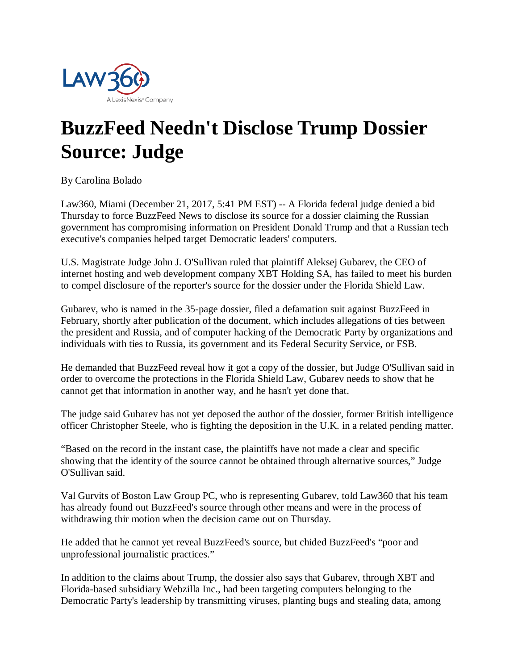

## **BuzzFeed Needn't Disclose Trump Dossier Source: Judge**

By Carolina Bolado

Law360, Miami (December 21, 2017, 5:41 PM EST) -- A Florida federal judge denied a bid Thursday to force BuzzFeed News to disclose its source for a dossier claiming the Russian government has compromising information on President Donald Trump and that a Russian tech executive's companies helped target Democratic leaders' computers.

U.S. Magistrate Judge John J. O'Sullivan ruled that plaintiff Aleksej Gubarev, the CEO of internet hosting and web development company XBT Holding SA, has failed to meet his burden to compel disclosure of the reporter's source for the dossier under the Florida Shield Law.

Gubarev, who is named in the 35-page dossier, filed a defamation suit against BuzzFeed in February, shortly after publication of the document, which includes allegations of ties between the president and Russia, and of computer hacking of the Democratic Party by organizations and individuals with ties to Russia, its government and its Federal Security Service, or FSB.

He demanded that BuzzFeed reveal how it got a copy of the dossier, but Judge O'Sullivan said in order to overcome the protections in the Florida Shield Law, Gubarev needs to show that he cannot get that information in another way, and he hasn't yet done that.

The judge said Gubarev has not yet deposed the author of the dossier, former British intelligence officer Christopher Steele, who is fighting the deposition in the U.K. in a related pending matter.

"Based on the record in the instant case, the plaintiffs have not made a clear and specific showing that the identity of the source cannot be obtained through alternative sources," Judge O'Sullivan said.

Val Gurvits of Boston Law Group PC, who is representing Gubarev, told Law360 that his team has already found out BuzzFeed's source through other means and were in the process of withdrawing thir motion when the decision came out on Thursday.

He added that he cannot yet reveal BuzzFeed's source, but chided BuzzFeed's "poor and unprofessional journalistic practices."

In addition to the claims about Trump, the dossier also says that Gubarev, through XBT and Florida-based subsidiary Webzilla Inc., had been targeting computers belonging to the Democratic Party's leadership by transmitting viruses, planting bugs and stealing data, among